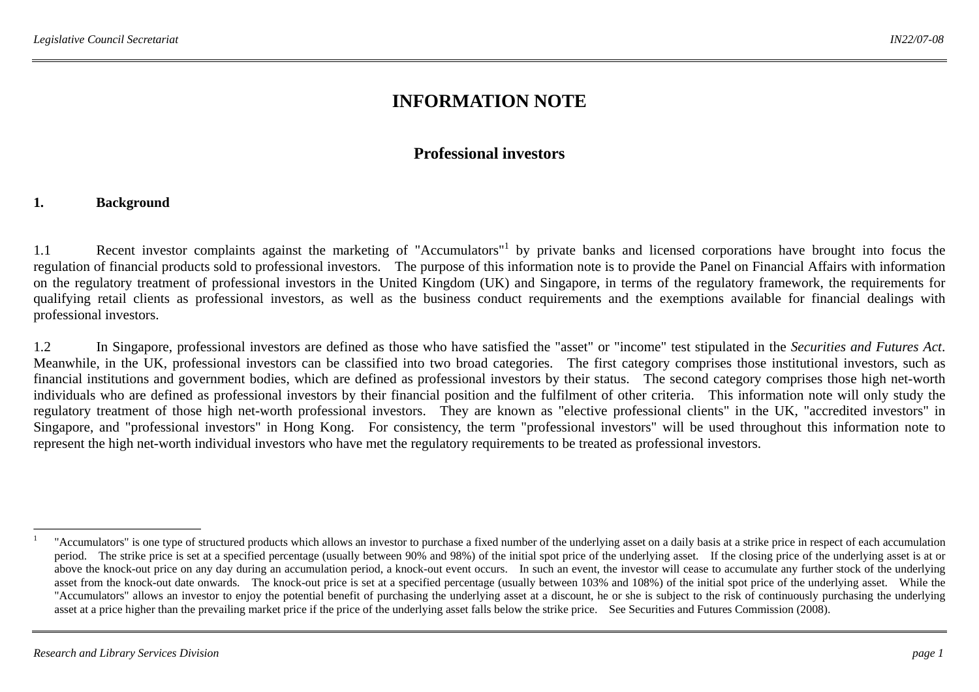# **INFORMATION NOTE**

### **Professional investors**

#### **1. Background**

1.1 Recent investor complaints against the marketing of "Accumulators" by private banks and licensed corporations have brought into focus the regulation of financial products sold to professional investors. The purpose of this information note is to provide the Panel on Financial Affairs with information on the regulatory treatment of professional investors in the United Kingdom (UK) and Singapore, in terms of the regulatory framework, the requirements for qualifying retail clients as professional investors, as well as the business conduct requirements and the exemptions available for financial dealings with professional investors.

1.2 In Singapore, professional investors are defined as those who have satisfied the "asset" or "income" test stipulated in the *Securities and Futures Act*. Meanwhile, in the UK, professional investors can be classified into two broad categories. The first category comprises those institutional investors, such as financial institutions and government bodies, which are defined as professional investors by their status. The second category comprises those high net-worth individuals who are defined as professional investors by their financial position and the fulfilment of other criteria. This information note will only study the regulatory treatment of those high net-worth professional investors. They are known as "elective professional clients" in the UK, "accredited investors" in Singapore, and "professional investors" in Hong Kong. For consistency, the term "professional investors" will be used throughout this information note to represent the high net-worth individual investors who have met the regulatory requirements to be treated as professional investors.

<sup>&</sup>lt;sup>1</sup> "Accumulators" is one type of structured products which allows an investor to purchase a fixed number of the underlying asset on a daily basis at a strike price in respect of each accumulation period. The strike price is set at a specified percentage (usually between 90% and 98%) of the initial spot price of the underlying asset. If the closing price of the underlying asset is at or above the knock-out price on any day during an accumulation period, a knock-out event occurs. In such an event, the investor will cease to accumulate any further stock of the underlying asset from the knock-out date onwards. The knock-out price is set at a specified percentage (usually between 103% and 108%) of the initial spot price of the underlying asset. While the "Accumulators" allows an investor to enjoy the potential benefit of purchasing the underlying asset at a discount, he or she is subject to the risk of continuously purchasing the underlying asset at a price higher than the prevailing market price if the price of the underlying asset falls below the strike price. See Securities and Futures Commission (2008).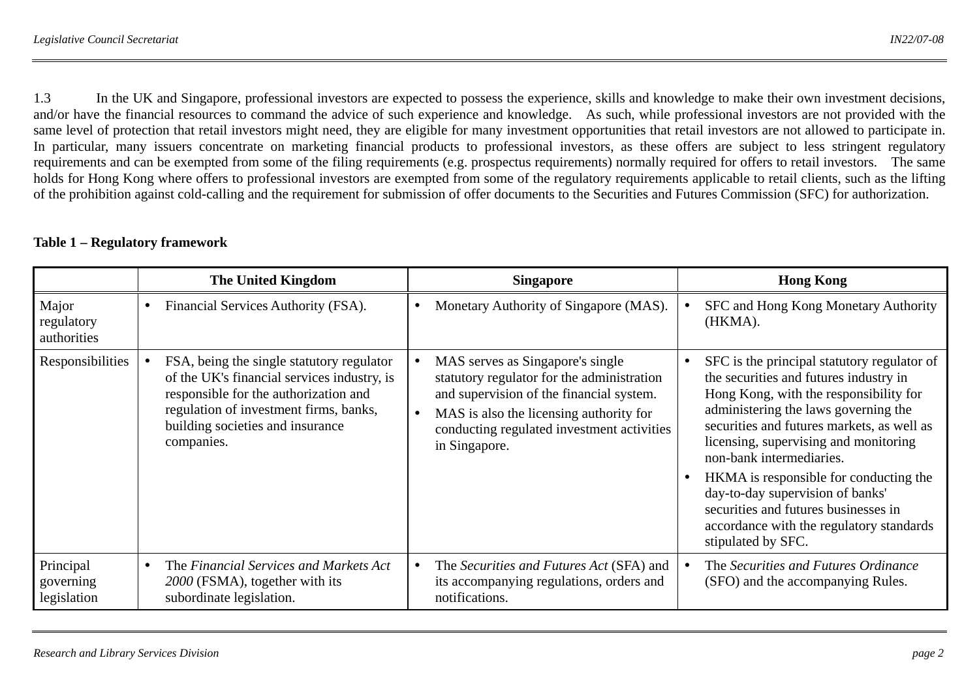1.3 In the UK and Singapore, professional investors are expected to possess the experience, skills and knowledge to make their own investment decisions, and/or have the financial resources to command the advice of such experience and knowledge. As such, while professional investors are not provided with the same level of protection that retail investors might need, they are eligible for many investment opportunities that retail investors are not allowed to participate in. In particular, many issuers concentrate on marketing financial products to professional investors, as these offers are subject to less stringent regulatory requirements and can be exempted from some of the filing requirements (e.g. prospectus requirements) normally required for offers to retail investors. The same holds for Hong Kong where offers to professional investors are exempted from some of the regulatory requirements applicable to retail clients, such as the lifting of the prohibition against cold-calling and the requirement for submission of offer documents to the Securities and Futures Commission (SFC) for authorization.

|                                       | <b>The United Kingdom</b>                                                                                                                                                                                                     | <b>Singapore</b>                                                                                                                                                                                                                     | <b>Hong Kong</b>                                                                                                                                                                                                                                                                                                                                                                                                                                                                   |
|---------------------------------------|-------------------------------------------------------------------------------------------------------------------------------------------------------------------------------------------------------------------------------|--------------------------------------------------------------------------------------------------------------------------------------------------------------------------------------------------------------------------------------|------------------------------------------------------------------------------------------------------------------------------------------------------------------------------------------------------------------------------------------------------------------------------------------------------------------------------------------------------------------------------------------------------------------------------------------------------------------------------------|
| Major<br>regulatory<br>authorities    | Financial Services Authority (FSA).<br>٠                                                                                                                                                                                      | Monetary Authority of Singapore (MAS).                                                                                                                                                                                               | SFC and Hong Kong Monetary Authority<br>(HKMA).                                                                                                                                                                                                                                                                                                                                                                                                                                    |
| Responsibilities                      | FSA, being the single statutory regulator<br>of the UK's financial services industry, is<br>responsible for the authorization and<br>regulation of investment firms, banks,<br>building societies and insurance<br>companies. | MAS serves as Singapore's single<br>statutory regulator for the administration<br>and supervision of the financial system.<br>MAS is also the licensing authority for<br>conducting regulated investment activities<br>in Singapore. | SFC is the principal statutory regulator of<br>the securities and futures industry in<br>Hong Kong, with the responsibility for<br>administering the laws governing the<br>securities and futures markets, as well as<br>licensing, supervising and monitoring<br>non-bank intermediaries.<br>HKMA is responsible for conducting the<br>day-to-day supervision of banks'<br>securities and futures businesses in<br>accordance with the regulatory standards<br>stipulated by SFC. |
| Principal<br>governing<br>legislation | The Financial Services and Markets Act<br>$\bullet$<br>2000 (FSMA), together with its<br>subordinate legislation.                                                                                                             | The Securities and Futures Act (SFA) and<br>its accompanying regulations, orders and<br>notifications.                                                                                                                               | The Securities and Futures Ordinance<br>(SFO) and the accompanying Rules.                                                                                                                                                                                                                                                                                                                                                                                                          |

#### **Table 1 – Regulatory framework**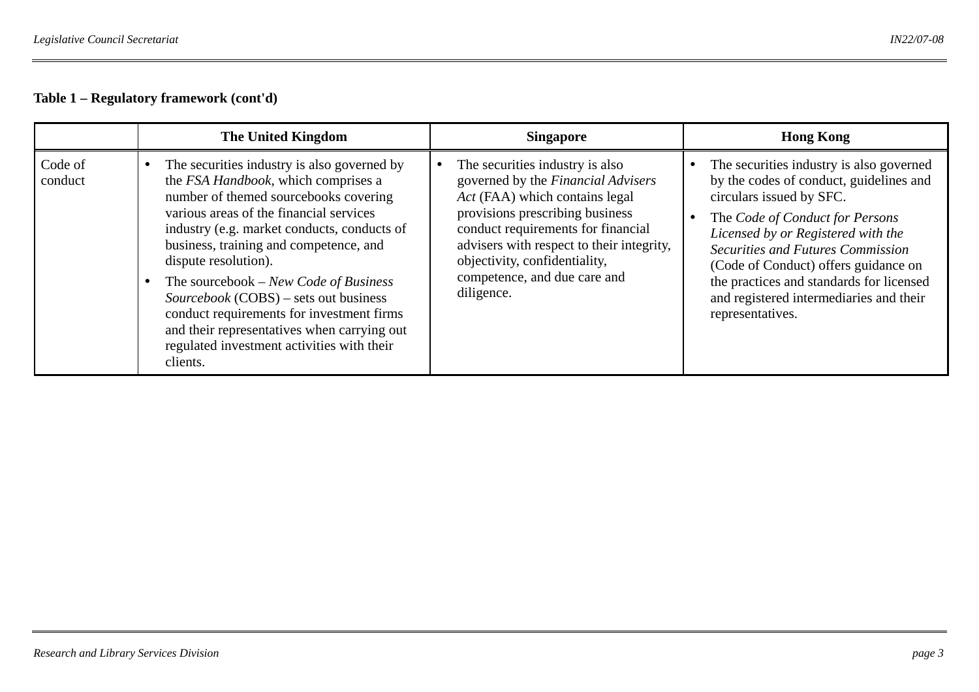#### **Table 1 – Regulatory framework (cont'd)**

|                    | <b>The United Kingdom</b>                                                                                                                                                                                                                                                                                                                                                                                                                                                                                                       | <b>Singapore</b>                                                                                                                                                                                                                                                                                             | <b>Hong Kong</b>                                                                                                                                                                                                                                                                                                                                                                        |
|--------------------|---------------------------------------------------------------------------------------------------------------------------------------------------------------------------------------------------------------------------------------------------------------------------------------------------------------------------------------------------------------------------------------------------------------------------------------------------------------------------------------------------------------------------------|--------------------------------------------------------------------------------------------------------------------------------------------------------------------------------------------------------------------------------------------------------------------------------------------------------------|-----------------------------------------------------------------------------------------------------------------------------------------------------------------------------------------------------------------------------------------------------------------------------------------------------------------------------------------------------------------------------------------|
| Code of<br>conduct | The securities industry is also governed by<br>the FSA Handbook, which comprises a<br>number of themed sourcebooks covering<br>various areas of the financial services<br>industry (e.g. market conducts, conducts of<br>business, training and competence, and<br>dispute resolution).<br>The sourcebook – New Code of Business<br>Sourcebook (COBS) – sets out business<br>conduct requirements for investment firms<br>and their representatives when carrying out<br>regulated investment activities with their<br>clients. | The securities industry is also<br>governed by the Financial Advisers<br>Act (FAA) which contains legal<br>provisions prescribing business<br>conduct requirements for financial<br>advisers with respect to their integrity,<br>objectivity, confidentiality,<br>competence, and due care and<br>diligence. | The securities industry is also governed<br>by the codes of conduct, guidelines and<br>circulars issued by SFC.<br>The Code of Conduct for Persons<br>Licensed by or Registered with the<br><b>Securities and Futures Commission</b><br>(Code of Conduct) offers guidance on<br>the practices and standards for licensed<br>and registered intermediaries and their<br>representatives. |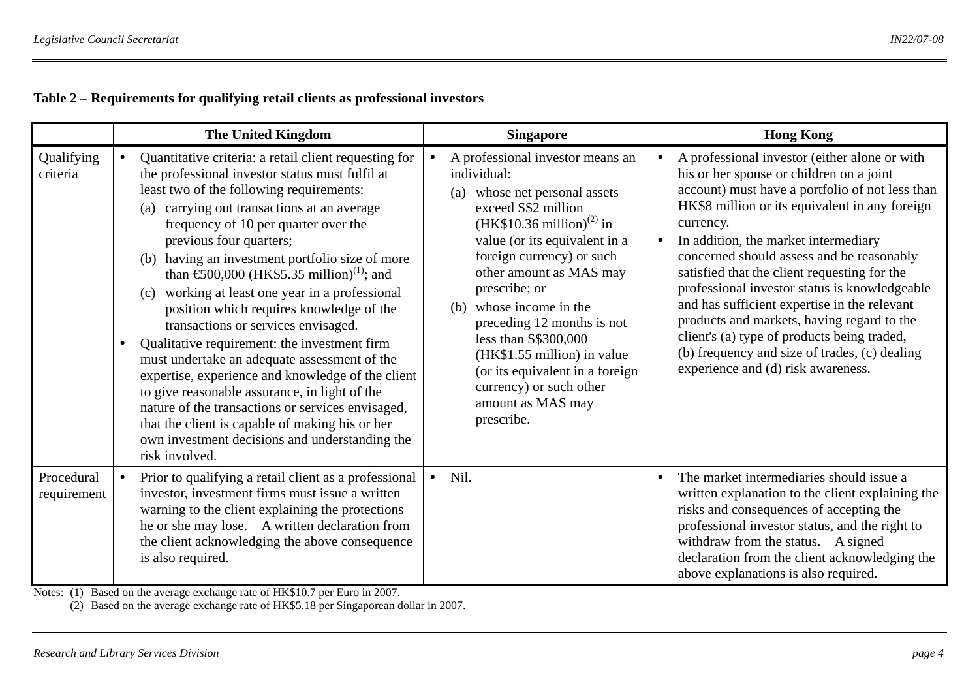## **Table 2 – Requirements for qualifying retail clients as professional investors**

|                           |           | <b>The United Kingdom</b>                                                                                                                                                                                                                                                                                                                                                                                                                                                                                                                                                                                                                                                                                                                                                                                                                                                                                                         |           | <b>Singapore</b>                                                                                                                                                                                                                                                                                                                                                                                                                                                       |           | <b>Hong Kong</b>                                                                                                                                                                                                                                                                                                                                                                                                                                                                                                                                                                                                                      |
|---------------------------|-----------|-----------------------------------------------------------------------------------------------------------------------------------------------------------------------------------------------------------------------------------------------------------------------------------------------------------------------------------------------------------------------------------------------------------------------------------------------------------------------------------------------------------------------------------------------------------------------------------------------------------------------------------------------------------------------------------------------------------------------------------------------------------------------------------------------------------------------------------------------------------------------------------------------------------------------------------|-----------|------------------------------------------------------------------------------------------------------------------------------------------------------------------------------------------------------------------------------------------------------------------------------------------------------------------------------------------------------------------------------------------------------------------------------------------------------------------------|-----------|---------------------------------------------------------------------------------------------------------------------------------------------------------------------------------------------------------------------------------------------------------------------------------------------------------------------------------------------------------------------------------------------------------------------------------------------------------------------------------------------------------------------------------------------------------------------------------------------------------------------------------------|
| Qualifying<br>criteria    | $\bullet$ | Quantitative criteria: a retail client requesting for<br>the professional investor status must fulfil at<br>least two of the following requirements:<br>carrying out transactions at an average<br>(a)<br>frequency of 10 per quarter over the<br>previous four quarters;<br>(b) having an investment portfolio size of more<br>than $\text{\textsterling}00,000$ (HK\$5.35 million) <sup>(1)</sup> ; and<br>(c) working at least one year in a professional<br>position which requires knowledge of the<br>transactions or services envisaged.<br>Qualitative requirement: the investment firm<br>must undertake an adequate assessment of the<br>expertise, experience and knowledge of the client<br>to give reasonable assurance, in light of the<br>nature of the transactions or services envisaged,<br>that the client is capable of making his or her<br>own investment decisions and understanding the<br>risk involved. |           | A professional investor means an<br>individual:<br>(a) whose net personal assets<br>exceed S\$2 million<br>$(HK$10.36 million)^{(2)}$ in<br>value (or its equivalent in a<br>foreign currency) or such<br>other amount as MAS may<br>prescribe; or<br>whose income in the<br>(b)<br>preceding 12 months is not<br>less than S\$300,000<br>(HK\$1.55 million) in value<br>(or its equivalent in a foreign<br>currency) or such other<br>amount as MAS may<br>prescribe. | $\bullet$ | A professional investor (either alone or with<br>his or her spouse or children on a joint<br>account) must have a portfolio of not less than<br>HK\$8 million or its equivalent in any foreign<br>currency.<br>In addition, the market intermediary<br>concerned should assess and be reasonably<br>satisfied that the client requesting for the<br>professional investor status is knowledgeable<br>and has sufficient expertise in the relevant<br>products and markets, having regard to the<br>client's (a) type of products being traded,<br>(b) frequency and size of trades, (c) dealing<br>experience and (d) risk awareness. |
| Procedural<br>requirement |           | Prior to qualifying a retail client as a professional<br>investor, investment firms must issue a written<br>warning to the client explaining the protections<br>he or she may lose. A written declaration from<br>the client acknowledging the above consequence<br>is also required.                                                                                                                                                                                                                                                                                                                                                                                                                                                                                                                                                                                                                                             | $\bullet$ | Nil.                                                                                                                                                                                                                                                                                                                                                                                                                                                                   | $\bullet$ | The market intermediaries should issue a<br>written explanation to the client explaining the<br>risks and consequences of accepting the<br>professional investor status, and the right to<br>withdraw from the status. A signed<br>declaration from the client acknowledging the<br>above explanations is also required.                                                                                                                                                                                                                                                                                                              |

Notes: (1) Based on the average exchange rate of HK\$10.7 per Euro in 2007.

(2) Based on the average exchange rate of HK\$5.18 per Singaporean dollar in 2007.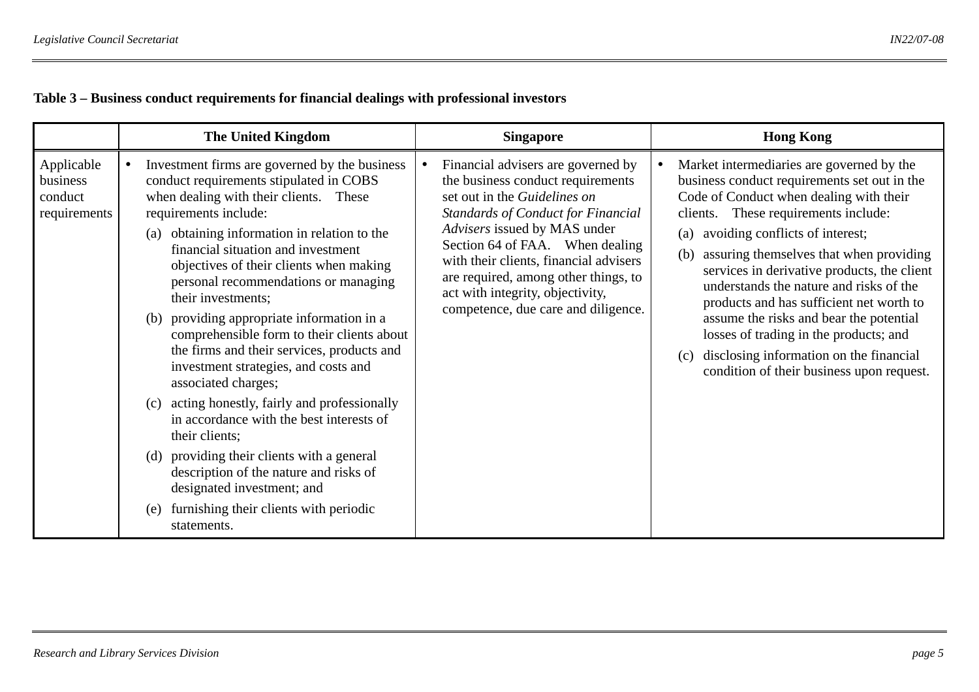## **Table 3 – Business conduct requirements for financial dealings with professional investors**

|                                                   | <b>The United Kingdom</b>                                                                                                                                                                                                                                                                                                                                                                                                                                                                                                                                                                                                                                                                                                                                                                                                                                                          | <b>Singapore</b>                                                                                                                                                                                                                                                                                                                                                                     | <b>Hong Kong</b>                                                                                                                                                                                                                                                                                                                                                                                                                                                                                                                                                                                      |
|---------------------------------------------------|------------------------------------------------------------------------------------------------------------------------------------------------------------------------------------------------------------------------------------------------------------------------------------------------------------------------------------------------------------------------------------------------------------------------------------------------------------------------------------------------------------------------------------------------------------------------------------------------------------------------------------------------------------------------------------------------------------------------------------------------------------------------------------------------------------------------------------------------------------------------------------|--------------------------------------------------------------------------------------------------------------------------------------------------------------------------------------------------------------------------------------------------------------------------------------------------------------------------------------------------------------------------------------|-------------------------------------------------------------------------------------------------------------------------------------------------------------------------------------------------------------------------------------------------------------------------------------------------------------------------------------------------------------------------------------------------------------------------------------------------------------------------------------------------------------------------------------------------------------------------------------------------------|
| Applicable<br>business<br>conduct<br>requirements | Investment firms are governed by the business<br>conduct requirements stipulated in COBS<br>when dealing with their clients. These<br>requirements include:<br>obtaining information in relation to the<br>(a)<br>financial situation and investment<br>objectives of their clients when making<br>personal recommendations or managing<br>their investments;<br>(b) providing appropriate information in a<br>comprehensible form to their clients about<br>the firms and their services, products and<br>investment strategies, and costs and<br>associated charges;<br>acting honestly, fairly and professionally<br>(c)<br>in accordance with the best interests of<br>their clients;<br>providing their clients with a general<br>(d)<br>description of the nature and risks of<br>designated investment; and<br>furnishing their clients with periodic<br>(e)<br>statements. | Financial advisers are governed by<br>the business conduct requirements<br>set out in the Guidelines on<br><b>Standards of Conduct for Financial</b><br>Advisers issued by MAS under<br>Section 64 of FAA. When dealing<br>with their clients, financial advisers<br>are required, among other things, to<br>act with integrity, objectivity,<br>competence, due care and diligence. | Market intermediaries are governed by the<br>business conduct requirements set out in the<br>Code of Conduct when dealing with their<br>These requirements include:<br>clients.<br>avoiding conflicts of interest;<br>(a)<br>assuring themselves that when providing<br>(b)<br>services in derivative products, the client<br>understands the nature and risks of the<br>products and has sufficient net worth to<br>assume the risks and bear the potential<br>losses of trading in the products; and<br>disclosing information on the financial<br>(c)<br>condition of their business upon request. |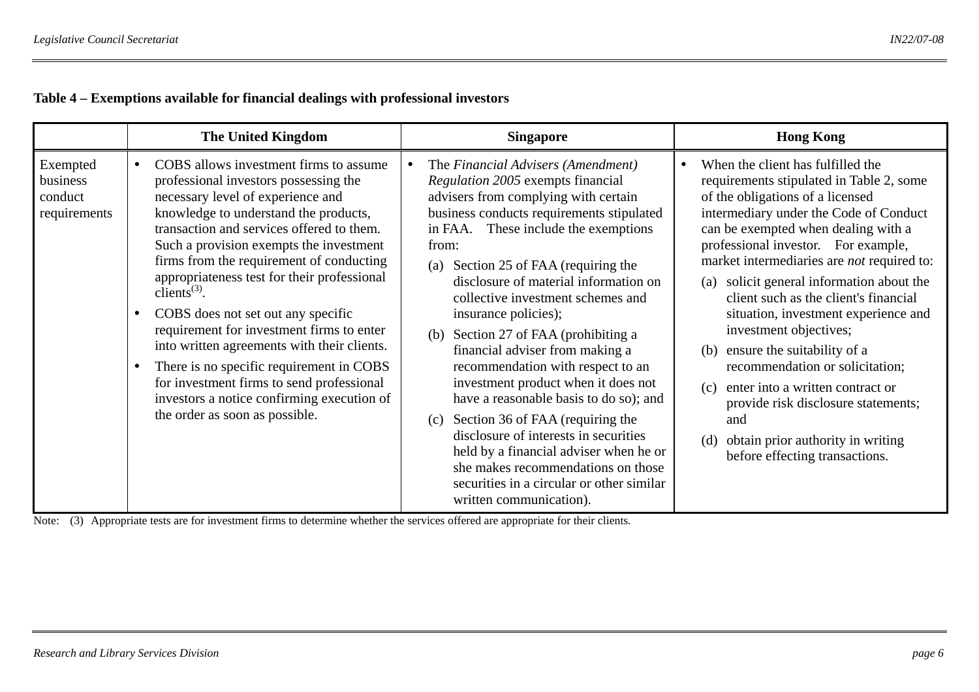## **Table 4 – Exemptions available for financial dealings with professional investors**

|                                                 |           | <b>The United Kingdom</b>                                                                                                                                                                                                                                                                                                                                                                                                                                                                                                                                                                                                                                                                            | <b>Singapore</b>                                                                                                                                                                                                                                                                                                                                                                                                                                                                                                                                                                                                                                                                                                                                                                                                  | <b>Hong Kong</b>                                                                                                                                                                                                                                                                                                                                                                                                                                                                                                                                                                                                                                                                                          |
|-------------------------------------------------|-----------|------------------------------------------------------------------------------------------------------------------------------------------------------------------------------------------------------------------------------------------------------------------------------------------------------------------------------------------------------------------------------------------------------------------------------------------------------------------------------------------------------------------------------------------------------------------------------------------------------------------------------------------------------------------------------------------------------|-------------------------------------------------------------------------------------------------------------------------------------------------------------------------------------------------------------------------------------------------------------------------------------------------------------------------------------------------------------------------------------------------------------------------------------------------------------------------------------------------------------------------------------------------------------------------------------------------------------------------------------------------------------------------------------------------------------------------------------------------------------------------------------------------------------------|-----------------------------------------------------------------------------------------------------------------------------------------------------------------------------------------------------------------------------------------------------------------------------------------------------------------------------------------------------------------------------------------------------------------------------------------------------------------------------------------------------------------------------------------------------------------------------------------------------------------------------------------------------------------------------------------------------------|
| Exempted<br>business<br>conduct<br>requirements | $\bullet$ | COBS allows investment firms to assume<br>professional investors possessing the<br>necessary level of experience and<br>knowledge to understand the products,<br>transaction and services offered to them.<br>Such a provision exempts the investment<br>firms from the requirement of conducting<br>appropriateness test for their professional<br>clients <sup><math>(3)</math></sup> .<br>COBS does not set out any specific<br>requirement for investment firms to enter<br>into written agreements with their clients.<br>There is no specific requirement in COBS<br>for investment firms to send professional<br>investors a notice confirming execution of<br>the order as soon as possible. | The Financial Advisers (Amendment)<br>Regulation 2005 exempts financial<br>advisers from complying with certain<br>business conducts requirements stipulated<br>These include the exemptions<br>in FAA.<br>from:<br>Section 25 of FAA (requiring the<br>(a)<br>disclosure of material information on<br>collective investment schemes and<br>insurance policies);<br>Section 27 of FAA (prohibiting a<br>(b)<br>financial adviser from making a<br>recommendation with respect to an<br>investment product when it does not<br>have a reasonable basis to do so); and<br>Section 36 of FAA (requiring the<br>(c)<br>disclosure of interests in securities<br>held by a financial adviser when he or<br>she makes recommendations on those<br>securities in a circular or other similar<br>written communication). | When the client has fulfilled the<br>requirements stipulated in Table 2, some<br>of the obligations of a licensed<br>intermediary under the Code of Conduct<br>can be exempted when dealing with a<br>professional investor. For example,<br>market intermediaries are <i>not</i> required to:<br>solicit general information about the<br>(a)<br>client such as the client's financial<br>situation, investment experience and<br>investment objectives;<br>ensure the suitability of a<br>(b)<br>recommendation or solicitation;<br>enter into a written contract or<br>(c)<br>provide risk disclosure statements;<br>and<br>obtain prior authority in writing<br>(d)<br>before effecting transactions. |

Note: (3) Appropriate tests are for investment firms to determine whether the services offered are appropriate for their clients.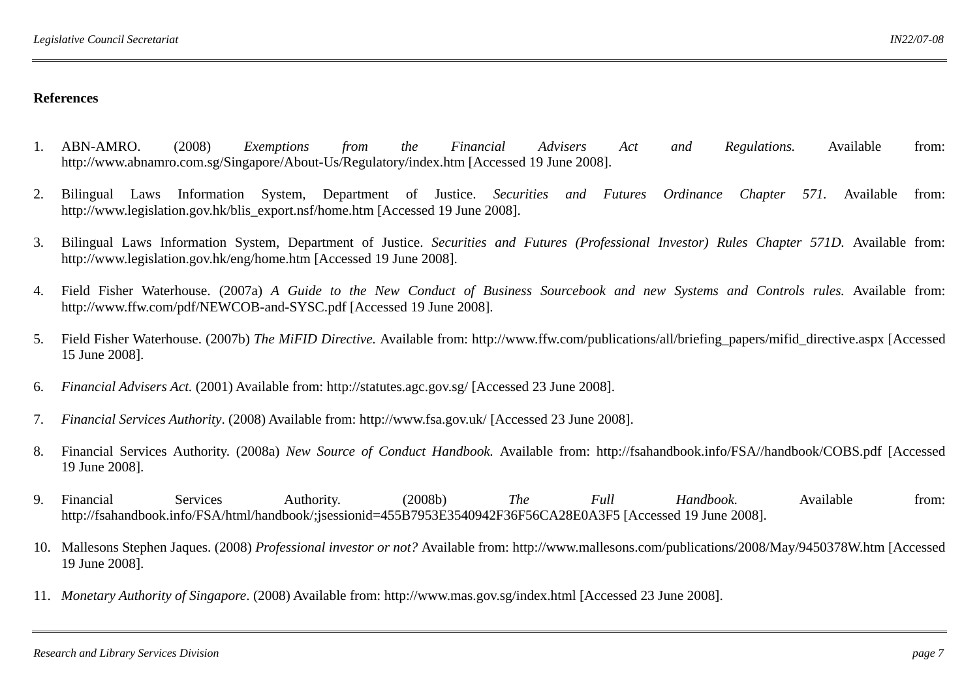- 1. ABN-AMRO. (2008) *Exemptions from the Financial Advisers Act and Regulations.* Available from: http://www.abnamro.com.sg/Singapore/About-Us/Regulatory/index.htm [Accessed 19 June 2008].
- 2. Bilingual Laws Information System, Department of Justice. *Securities and Futures Ordinance Chapter 571.* Available from: http://www.legislation.gov.hk/blis\_export.nsf/home.htm [Accessed 19 June 2008].
- 3. Bilingual Laws Information System, Department of Justice. *Securities and Futures (Professional Investor) Rules Chapter 571D.* Available from: http://www.legislation.gov.hk/eng/home.htm [Accessed 19 June 2008].
- 4. Field Fisher Waterhouse. (2007a) *A Guide to the New Conduct of Business Sourcebook and new Systems and Controls rules.* Available from: http://www.ffw.com/pdf/NEWCOB-and-SYSC.pdf [Accessed 19 June 2008].
- 5. Field Fisher Waterhouse. (2007b) *The MiFID Directive.* Available from: http://www.ffw.com/publications/all/briefing\_papers/mifid\_directive.aspx [Accessed 15 June 2008].
- 6.*Financial Advisers Act.* (2001) Available from: http://statutes.agc.gov.sg/ [Accessed 23 June 2008].
- 7.*Financial Services Authority*. (2008) Available from: http://www.fsa.gov.uk/ [Accessed 23 June 2008].
- 8. Financial Services Authority. (2008a) *New Source of Conduct Handbook.* Available from: http://fsahandbook.info/FSA//handbook/COBS.pdf [Accessed 19 June 2008].
- 9. Financial Services Authority. (2008b) *The Full Handbook.* Available from: http://fsahandbook.info/FSA/html/handbook/;jsessionid=455B7953E3540942F36F56CA28E0A3F5 [Accessed 19 June 2008].
- 10. Mallesons Stephen Jaques. (2008) *Professional investor or not?* Available from: http://www.mallesons.com/publications/2008/May/9450378W.htm [Accessed 19 June 2008].
- 11. *Monetary Authority of Singapore*. (2008) Available from: http://www.mas.gov.sg/index.html [Accessed 23 June 2008].